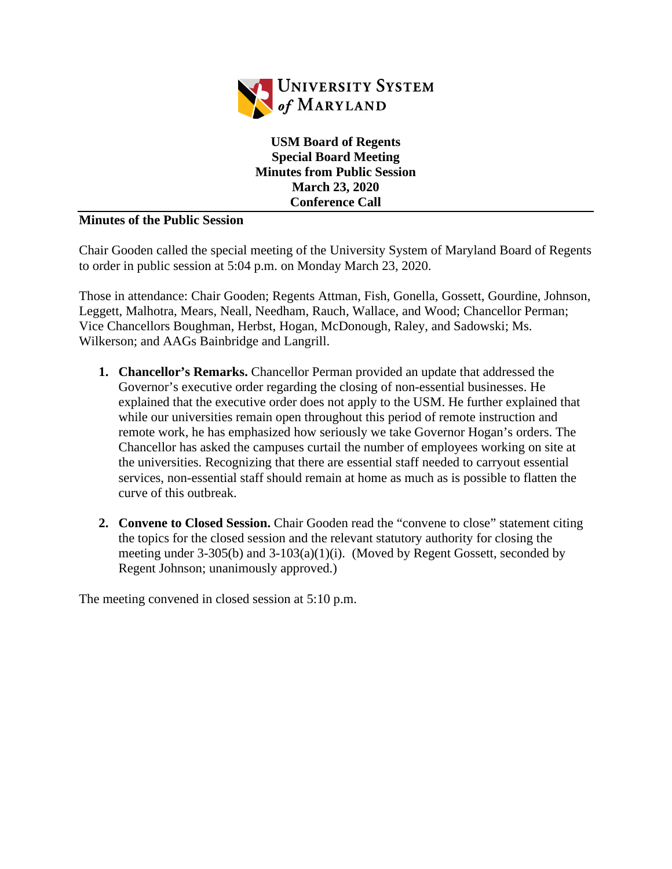

**USM Board of Regents Special Board Meeting Minutes from Public Session March 23, 2020 Conference Call**

## **Minutes of the Public Session**

Chair Gooden called the special meeting of the University System of Maryland Board of Regents to order in public session at 5:04 p.m. on Monday March 23, 2020.

Those in attendance: Chair Gooden; Regents Attman, Fish, Gonella, Gossett, Gourdine, Johnson, Leggett, Malhotra, Mears, Neall, Needham, Rauch, Wallace, and Wood; Chancellor Perman; Vice Chancellors Boughman, Herbst, Hogan, McDonough, Raley, and Sadowski; Ms. Wilkerson; and AAGs Bainbridge and Langrill.

- **1. Chancellor's Remarks.** Chancellor Perman provided an update that addressed the Governor's executive order regarding the closing of non-essential businesses. He explained that the executive order does not apply to the USM. He further explained that while our universities remain open throughout this period of remote instruction and remote work, he has emphasized how seriously we take Governor Hogan's orders. The Chancellor has asked the campuses curtail the number of employees working on site at the universities. Recognizing that there are essential staff needed to carryout essential services, non-essential staff should remain at home as much as is possible to flatten the curve of this outbreak.
- **2. Convene to Closed Session.** Chair Gooden read the "convene to close" statement citing the topics for the closed session and the relevant statutory authority for closing the meeting under 3-305(b) and 3-103(a)(1)(i). (Moved by Regent Gossett, seconded by Regent Johnson; unanimously approved.)

The meeting convened in closed session at 5:10 p.m.